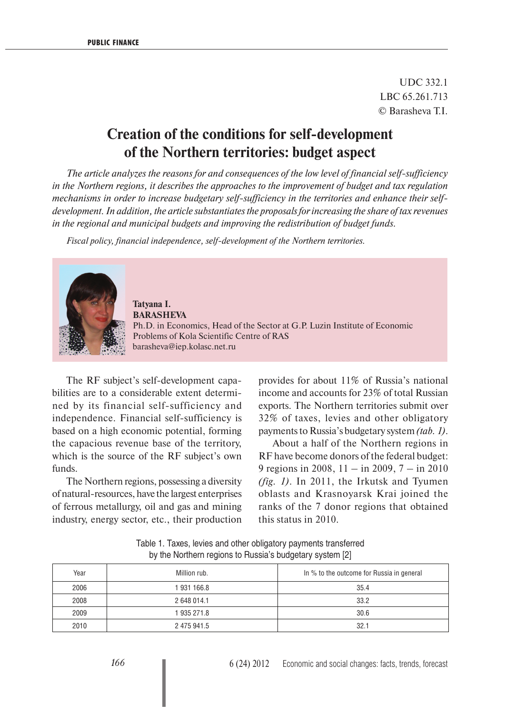UDC 332.1 LBC 65.261.713 © Barasheva T.I.

## **Creation of the conditions for self-development of the Northern territories: budget aspect**

*The article analyzes the reasons for and consequences of the low level of financial self-sufficiency in the Northern regions, it describes the approaches to the improvement of budget and tax regulation mechanisms in order to increase budgetary self-sufficiency in the territories and enhance their selfdevelopment. In addition, the article substantiates the proposals for increasing the share of tax revenues in the regional and municipal budgets and improving the redistribution of budget funds.*

*Fiscal policy, financial independence, self-development of the Northern territories.*



**Tatyana I. BARASHEVA**  Ph.D. in Economics, Head of the Sector at G.P. Luzin Institute of Economic Problems of Kola Scientific Centre of RAS barasheva@iep.kolasc.net.ru

The RF subject's self-development capabilities are to a considerable extent determined by its financial self-sufficiency and independence. Financial self-sufficiency is based on a high economic potential, forming the capacious revenue base of the territory, which is the source of the RF subject's own funds.

The Northern regions, possessing a diversity of natural-resources, have the largest enterprises of ferrous metallurgy, oil and gas and mining industry, energy sector, etc., their production provides for about 11% of Russia's national income and accounts for 23% of total Russian exports. The Northern territories submit over 32% of taxes, levies and other obligatory payments to Russia's budgetary system *(tab. 1)*.

About a half of the Northern regions in RF have become donors of the federal budget: 9 regions in 2008, 11 – in 2009, 7 – in 2010 *(fig. 1)*. In 2011, the Irkutsk and Tyumen oblasts and Krasnoyarsk Krai joined the ranks of the 7 donor regions that obtained this status in 2010.

| Year | Million rub. | In % to the outcome for Russia in general |
|------|--------------|-------------------------------------------|
| 2006 | 1931166.8    | 35.4                                      |
| 2008 | 2 648 014.1  | 33.2                                      |
| 2009 | 1 935 271.8  | 30.6                                      |
| 2010 | 2 475 941.5  | 32.1                                      |

Table 1. Taxes, levies and other obligatory payments transferred by the Northern regions to Russia's budgetary system [2]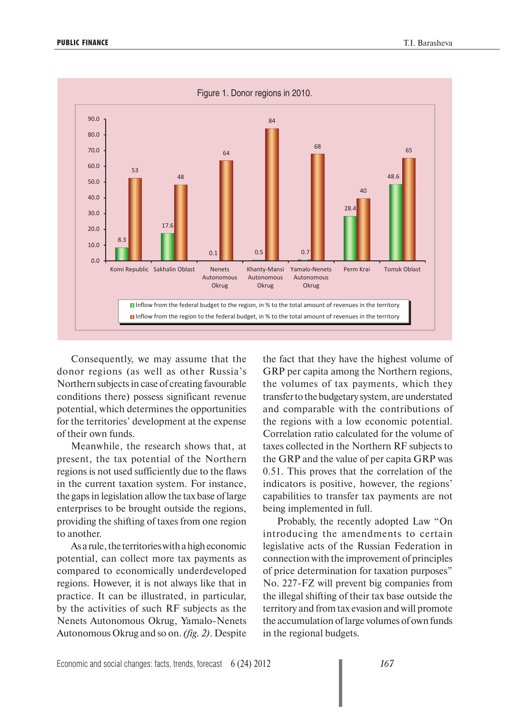

Consequently, we may assume that the donor regions (as well as other Russia's Northern subjects in case of creating favourable conditions there) possess significant revenue potential, which determines the opportunities for the territories' development at the expense of their own funds.

Meanwhile, the research shows that, at present, the tax potential of the Northern regions is not used sufficiently due to the flaws in the current taxation system. For instance, the gaps in legislation allow the tax base of large enterprises to be brought outside the regions, providing the shifting of taxes from one region to another.

As a rule, the territories with a high economic potential, can collect more tax payments as compared to economically underdeveloped regions. However, it is not always like that in practice. It can be illustrated, in particular, by the activities of such RF subjects as the Nenets Autonomous Okrug, Yamalo-Nenets Autonomous Okrug and so on. *(fig. 2)*. Despite the fact that they have the highest volume of GRP per capita among the Northern regions, the volumes of tax payments, which they transfer to the budgetary system, are understated and comparable with the contributions of the regions with a low economic potential. Correlation ratio calculated for the volume of taxes collected in the Northern RF subjects to the GRP and the value of per capita GRP was 0.51. This proves that the correlation of the indicators is positive, however, the regions' capabilities to transfer tax payments are not being implemented in full.

Probably, the recently adopted Law "On introducing the amendments to certain legislative acts of the Russian Federation in connection with the improvement of principles of price determination for taxation purposes" No. 227-FZ will prevent big companies from the illegal shifting of their tax base outside the territory and from tax evasion and will promote the accumulation of large volumes of own funds in the regional budgets.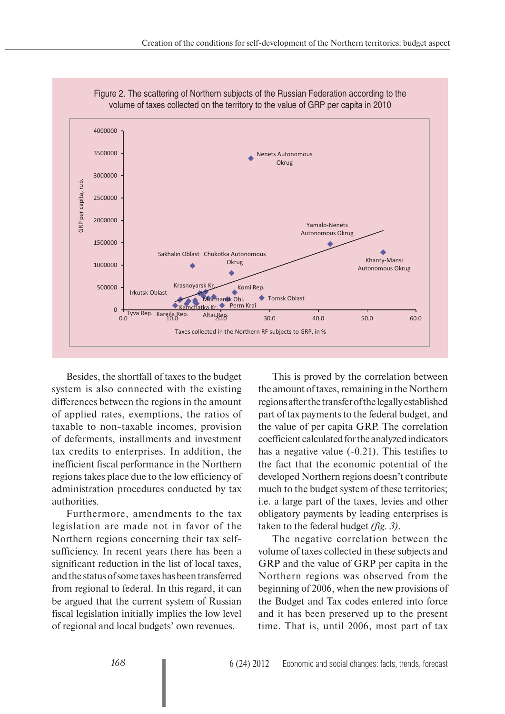

Figure 2. The scattering of Northern subjects of the Russian Federation according to the

Besides, the shortfall of taxes to the budget system is also connected with the existing differences between the regions in the amount of applied rates, exemptions, the ratios of taxable to non-taxable incomes, provision of deferments, installments and investment tax credits to enterprises. In addition, the inefficient fiscal performance in the Northern regions takes place due to the low efficiency of administration procedures conducted by tax authorities.

Furthermore, amendments to the tax legislation are made not in favor of the Northern regions concerning their tax selfsufficiency. In recent years there has been a significant reduction in the list of local taxes, and the status of some taxes has been transferred from regional to federal. In this regard, it can be argued that the current system of Russian fiscal legislation initially implies the low level of regional and local budgets' own revenues.

This is proved by the correlation between the amount of taxes, remaining in the Northern regions after the transfer of the legally established part of tax payments to the federal budget, and the value of per capita GRP. The correlation coefficient calculated for the analyzed indicators has a negative value (-0.21). This testifies to the fact that the economic potential of the developed Northern regions doesn't contribute much to the budget system of these territories; i.e. a large part of the taxes, levies and other obligatory payments by leading enterprises is taken to the federal budget *(fig. 3)*.

The negative correlation between the volume of taxes collected in these subjects and GRP and the value of GRP per capita in the Northern regions was observed from the beginning of 2006, when the new provisions of the Budget and Tax codes entered into force and it has been preserved up to the present time. That is, until 2006, most part of tax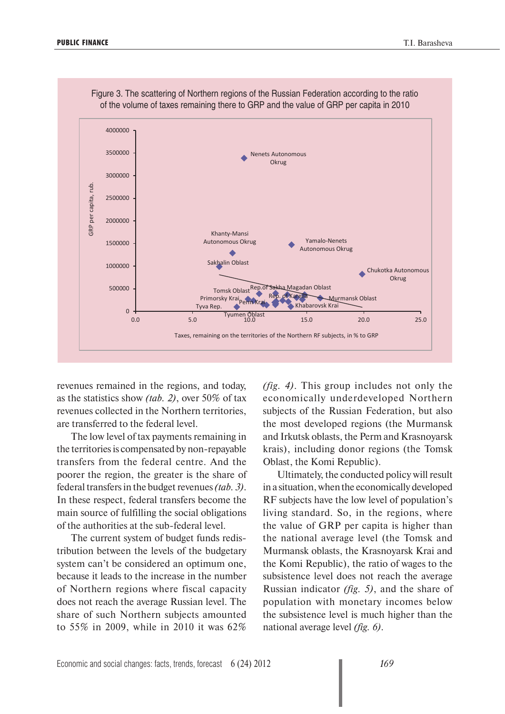

Figure 3. The scattering of Northern regions of the Russian Federation according to the ratio

revenues remained in the regions, and today, as the statistics show *(tab. 2)*, over 50% of tax revenues collected in the Northern territories, are transferred to the federal level.

The low level of tax payments remaining in the territories is compensated by non-repayable transfers from the federal centre. And the poorer the region, the greater is the share of federal transfers in the budget revenues *(tab. 3)*. In these respect, federal transfers become the main source of fulfilling the social obligations of the authorities at the sub-federal level.

The current system of budget funds redistribution between the levels of the budgetary system can't be considered an optimum one, because it leads to the increase in the number of Northern regions where fiscal capacity does not reach the average Russian level. The share of such Northern subjects amounted to 55% in 2009, while in 2010 it was 62%

*(fig. 4)*. This group includes not only the economically underdeveloped Northern subjects of the Russian Federation, but also the most developed regions (the Murmansk and Irkutsk oblasts, the Perm and Krasnoyarsk krais), including donor regions (the Tomsk Oblast, the Komi Republic).

Ultimately, the conducted policy will result in a situation, when the economically developed RF subjects have the low level of population's living standard. So, in the regions, where the value of GRP per capita is higher than the national average level (the Tomsk and Murmansk oblasts, the Krasnoyarsk Krai and the Komi Republic), the ratio of wages to the subsistence level does not reach the average Russian indicator *(fig. 5)*, and the share of population with monetary incomes below the subsistence level is much higher than the national average level *(fig. 6)*.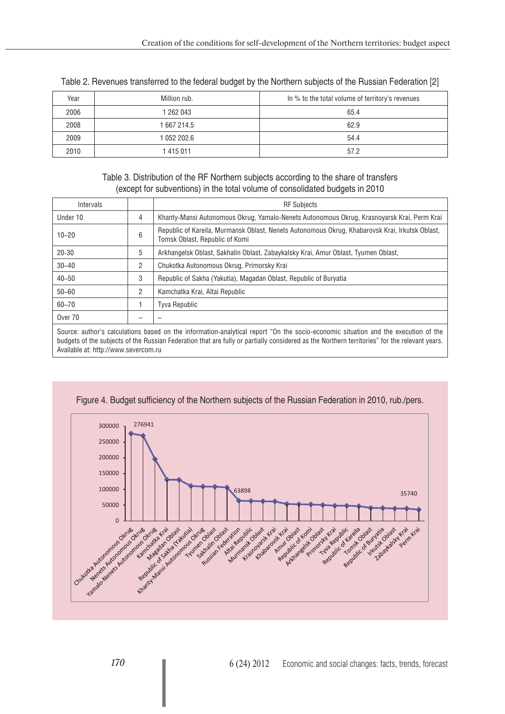| Year | Million rub. | In % to the total volume of territory's revenues |
|------|--------------|--------------------------------------------------|
| 2006 | 1 262 043    | 65.4                                             |
| 2008 | 1 667 214.5  | 62.9                                             |
| 2009 | 1 052 202.6  | 54.4                                             |
| 2010 | 1415011      | 57.2                                             |

Table 2. Revenues transferred to the federal budget by the Northern subjects of the Russian Federation [2]

Table 3. Distribution of the RF Northern subjects according to the share of transfers (except for subventions) in the total volume of consolidated budgets in 2010

| <b>Intervals</b>                                                                                                                                                                                                                                                                    |   | <b>RF Subjects</b>                                                                                                                |
|-------------------------------------------------------------------------------------------------------------------------------------------------------------------------------------------------------------------------------------------------------------------------------------|---|-----------------------------------------------------------------------------------------------------------------------------------|
| Under 10                                                                                                                                                                                                                                                                            | 4 | Khanty-Mansi Autonomous Okrug, Yamalo-Nenets Autonomous Okrug, Krasnoyarsk Krai, Perm Krai                                        |
| $10 - 20$                                                                                                                                                                                                                                                                           | 6 | Republic of Kareila, Murmansk Oblast, Nenets Autonomous Okrug, Khabarovsk Krai, Irkutsk Oblast,<br>Tomsk Oblast, Republic of Komi |
| $20 - 30$                                                                                                                                                                                                                                                                           | 5 | Arkhangelsk Oblast, Sakhalin Oblast, Zabaykalsky Krai, Amur Oblast, Tyumen Oblast,                                                |
| $30 - 40$                                                                                                                                                                                                                                                                           | 2 | Chukotka Autonomous Okrug, Primorsky Krai                                                                                         |
| $40 - 50$                                                                                                                                                                                                                                                                           | 3 | Republic of Sakha (Yakutia), Magadan Oblast, Republic of Buryatia                                                                 |
| $50 - 60$                                                                                                                                                                                                                                                                           | 2 | Kamchatka Krai, Altai Republic                                                                                                    |
| $60 - 70$                                                                                                                                                                                                                                                                           |   | <b>Tyva Republic</b>                                                                                                              |
| Over 70                                                                                                                                                                                                                                                                             |   |                                                                                                                                   |
| Source: author's calculations based on the information-analytical report "On the socio-economic situation and the execution of the<br>budgets of the subjects of the Russian Federation that are fully or partially considered as the Northern territories" for the relevant years. |   |                                                                                                                                   |

Available at: http://www.severcom.ru



Figure 4. Budget sufficiency of the Northern subjects of the Russian Federation in 2010, rub./pers.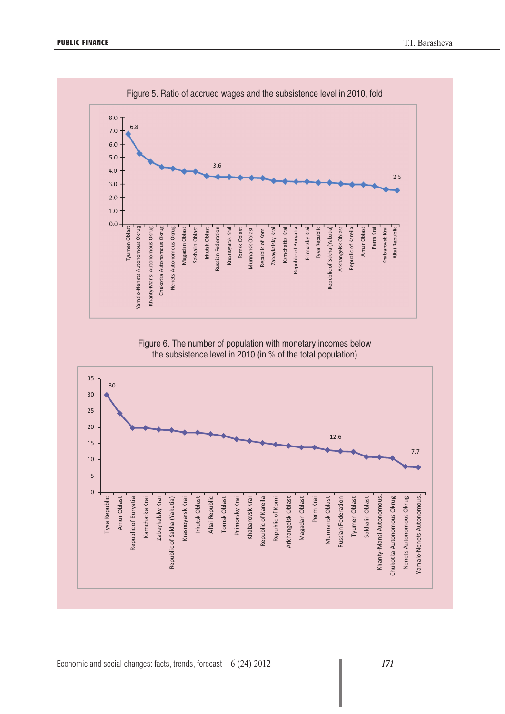

Figure 6. The number of population with monetary incomes below the subsistence level in 2010 (in % of the total population)

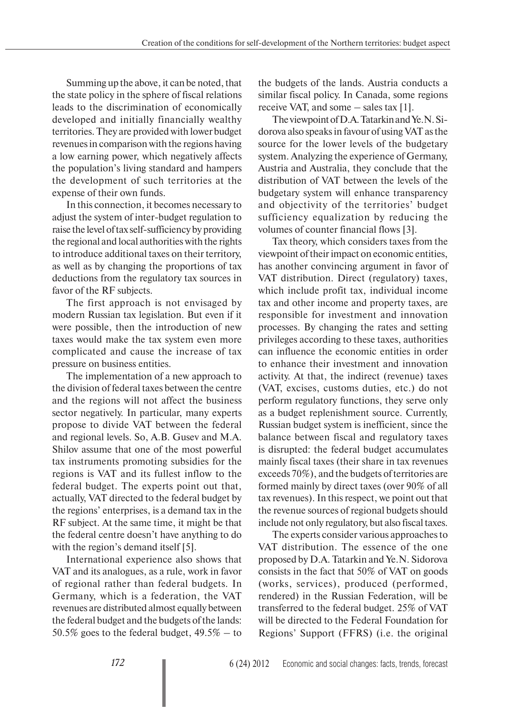Summing up the above, it can be noted, that the state policy in the sphere of fiscal relations leads to the discrimination of economically developed and initially financially wealthy territories. They are provided with lower budget revenues in comparison with the regions having a low earning power, which negatively affects the population's living standard and hampers the development of such territories at the expense of their own funds.

In this connection, it becomes necessary to adjust the system of inter-budget regulation to raise the level of tax self-sufficiency by providing the regional and local authorities with the rights to introduce additional taxes on their territory, as well as by changing the proportions of tax deductions from the regulatory tax sources in favor of the RF subjects.

The first approach is not envisaged by modern Russian tax legislation. But even if it were possible, then the introduction of new taxes would make the tax system even more complicated and cause the increase of tax pressure on business entities.

The implementation of a new approach to the division of federal taxes between the centre and the regions will not affect the business sector negatively. In particular, many experts propose to divide VAT between the federal and regional levels. So, A.B. Gusev and M.A. Shilov assume that one of the most powerful tax instruments promoting subsidies for the regions is VAT and its fullest inflow to the federal budget. The experts point out that, actually, VAT directed to the federal budget by the regions' enterprises, is a demand tax in the RF subject. At the same time, it might be that the federal centre doesn't have anything to do with the region's demand itself [5].

International experience also shows that VAT and its analogues, as a rule, work in favor of regional rather than federal budgets. In Germany, which is a federation, the VAT revenues are distributed almost equally between the federal budget and the budgets of the lands: 50.5% goes to the federal budget,  $49.5\%$  – to the budgets of the lands. Austria conducts a similar fiscal policy. In Canada, some regions receive VAT, and some – sales tax [1].

The viewpoint of D.A. Tatarkin and Ye.N. Sidorova also speaks in favour of using VAT as the source for the lower levels of the budgetary system. Analyzing the experience of Germany, Austria and Australia, they conclude that the distribution of VAT between the levels of the budgetary system will enhance transparency and objectivity of the territories' budget sufficiency equalization by reducing the volumes of counter financial flows [3].

Tax theory, which considers taxes from the viewpoint of their impact on economic entities, has another convincing argument in favor of VAT distribution. Direct (regulatory) taxes, which include profit tax, individual income tax and other income and property taxes, are responsible for investment and innovation processes. By changing the rates and setting privileges according to these taxes, authorities can influence the economic entities in order to enhance their investment and innovation activity. At that, the indirect (revenue) taxes (VAT, excises, customs duties, etc.) do not perform regulatory functions, they serve only as a budget replenishment source. Currently, Russian budget system is inefficient, since the balance between fiscal and regulatory taxes is disrupted: the federal budget accumulates mainly fiscal taxes (their share in tax revenues exceeds 70%), and the budgets of territories are formed mainly by direct taxes (over 90% of all tax revenues). In this respect, we point out that the revenue sources of regional budgets should include not only regulatory, but also fiscal taxes.

The experts consider various approaches to VAT distribution. The essence of the one proposed by D.A. Tatarkin and Ye.N. Sidorova consists in the fact that 50% of VAT on goods (works, services), produced (performed, rendered) in the Russian Federation, will be transferred to the federal budget. 25% of VAT will be directed to the Federal Foundation for Regions' Support (FFRS) (i.e. the original